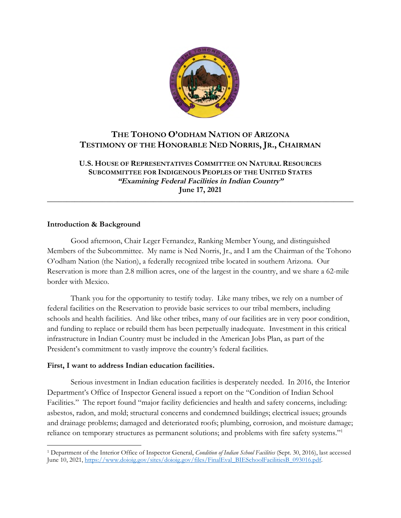

# **THE TOHONO O'ODHAM NATION OF ARIZONA TESTIMONY OF THE HONORABLE NED NORRIS, JR., CHAIRMAN**

**U.S. HOUSE OF REPRESENTATIVES COMMITTEE ON NATURAL RESOURCES SUBCOMMITTEE FOR INDIGENOUS PEOPLES OF THE UNITED STATES "Examining Federal Facilities in Indian Country" June 17, 2021** 

**\_\_\_\_\_\_\_\_\_\_\_\_\_\_\_\_\_\_\_\_\_\_\_\_\_\_\_\_\_\_\_\_\_\_\_\_\_\_\_\_\_\_\_\_\_\_\_\_\_\_\_\_\_\_\_\_\_\_\_\_\_\_\_\_\_\_\_\_\_\_\_\_\_\_\_\_\_\_** 

### **Introduction & Background**

Good afternoon, Chair Leger Fernandez, Ranking Member Young, and distinguished Members of the Subcommittee. My name is Ned Norris, Jr., and I am the Chairman of the Tohono O'odham Nation (the Nation), a federally recognized tribe located in southern Arizona. Our Reservation is more than 2.8 million acres, one of the largest in the country, and we share a 62-mile border with Mexico.

Thank you for the opportunity to testify today. Like many tribes, we rely on a number of federal facilities on the Reservation to provide basic services to our tribal members, including schools and health facilities. And like other tribes, many of our facilities are in very poor condition, and funding to replace or rebuild them has been perpetually inadequate. Investment in this critical infrastructure in Indian Country must be included in the American Jobs Plan, as part of the President's commitment to vastly improve the country's federal facilities.

## **First, I want to address Indian education facilities.**

Serious investment in Indian education facilities is desperately needed. In 2016, the Interior Department's Office of Inspector General issued a report on the "Condition of Indian School Facilities." The report found "major facility deficiencies and health and safety concerns, including: asbestos, radon, and mold; structural concerns and condemned buildings; electrical issues; grounds and drainage problems; damaged and deteriorated roofs; plumbing, corrosion, and moisture damage; reliance on temporary structures as permanent solutions; and problems with fire safety systems."<sup>1</sup>

<sup>1</sup> Department of the Interior Office of Inspector General, *Condition of Indian School Facilities* (Sept. 30, 2016), last accessed June 10, 2021, https://www.doioig.gov/sites/doioig.gov/files/FinalEval\_BIESchoolFacilitiesB\_093016.pdf.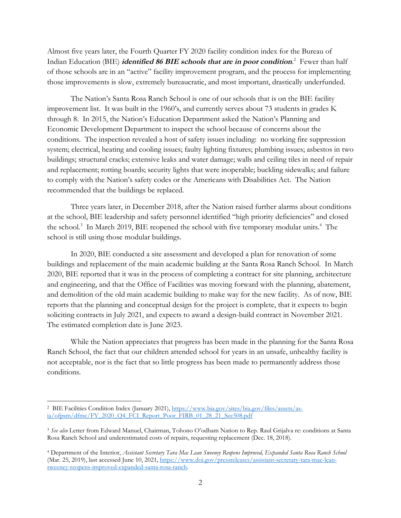Almost five years later, the Fourth Quarter FY 2020 facility condition index for the Bureau of Indian Education (BIE) **identified 86 BIE schools that are in poor condition**. 2 Fewer than half of those schools are in an "active" facility improvement program, and the process for implementing those improvements is slow, extremely bureaucratic, and most important, drastically underfunded.

The Nation's Santa Rosa Ranch School is one of our schools that is on the BIE facility improvement list. It was built in the 1960's, and currently serves about 73 students in grades K through 8. In 2015, the Nation's Education Department asked the Nation's Planning and Economic Development Department to inspect the school because of concerns about the conditions. The inspection revealed a host of safety issues including: no working fire suppression system; electrical, heating and cooling issues; faulty lighting fixtures; plumbing issues; asbestos in two buildings; structural cracks; extensive leaks and water damage; walls and ceiling tiles in need of repair and replacement; rotting boards; security lights that were inoperable; buckling sidewalks; and failure to comply with the Nation's safety codes or the Americans with Disabilities Act. The Nation recommended that the buildings be replaced.

Three years later, in December 2018, after the Nation raised further alarms about conditions at the school, BIE leadership and safety personnel identified "high priority deficiencies" and closed the school.<sup>3</sup> In March 2019, BIE reopened the school with five temporary modular units.<sup>4</sup> The school is still using those modular buildings.

In 2020, BIE conducted a site assessment and developed a plan for renovation of some buildings and replacement of the main academic building at the Santa Rosa Ranch School. In March 2020, BIE reported that it was in the process of completing a contract for site planning, architecture and engineering, and that the Office of Facilities was moving forward with the planning, abatement, and demolition of the old main academic building to make way for the new facility. As of now, BIE reports that the planning and conceptual design for the project is complete, that it expects to begin soliciting contracts in July 2021, and expects to award a design-build contract in November 2021. The estimated completion date is June 2023.

While the Nation appreciates that progress has been made in the planning for the Santa Rosa Ranch School, the fact that our children attended school for years in an unsafe, unhealthy facility is not acceptable, nor is the fact that so little progress has been made to permanently address those conditions.

<sup>&</sup>lt;sup>2</sup> BIE Facilities Condition Index (January 2021), https://www.bia.gov/sites/bia.gov/files/assets/asia/ofpsm/dfmc/FY\_2020\_Q4\_FCI\_Report\_Poor\_FIRB\_01\_28\_21\_Sec508.pdf

<sup>3</sup> *See also* Letter from Edward Manuel, Chairman, Tohono O'odham Nation to Rep. Raul Grijalva re: conditions at Santa Rosa Ranch School and underestimated costs of repairs, requesting replacement (Dec. 18, 2018).

<sup>4</sup> Department of the Interior, *Assistant Secretary Tara Mac Lean Sweeney Reopens Improved, Expanded Santa Rosa Ranch School* (Mar. 25, 2019), last accessed June 10, 2021, https://www.doi.gov/pressreleases/assistant-secretary-tara-mac-leansweeney-reopens-improved-expanded-santa-rosa-ranch.